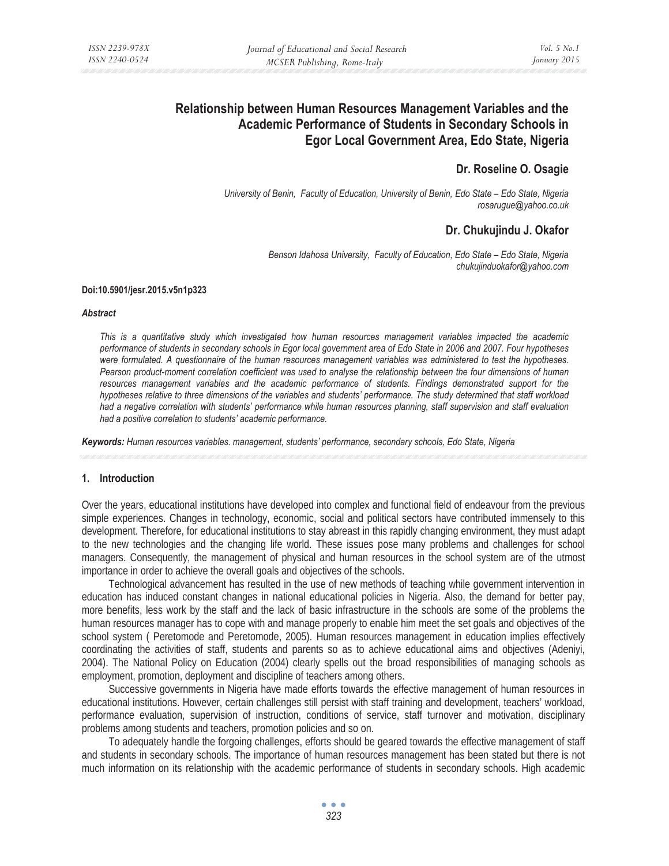# **Relationship between Human Resources Management Variables and the Academic Performance of Students in Secondary Schools in Egor Local Government Area, Edo State, Nigeria**

# **Dr. Roseline O. Osagie**

*University of Benin, Faculty of Education, University of Benin, Edo State – Edo State, Nigeria rosarugue@yahoo.co.uk* 

# **Dr. Chukujindu J. Okafor**

*Benson Idahosa University, Faculty of Education, Edo State – Edo State, Nigeria chukujinduokafor@yahoo.com* 

#### **Doi:10.5901/jesr.2015.v5n1p323**

#### *Abstract*

*This is a quantitative study which investigated how human resources management variables impacted the academic performance of students in secondary schools in Egor local government area of Edo State in 2006 and 2007. Four hypotheses were formulated. A questionnaire of the human resources management variables was administered to test the hypotheses. Pearson product-moment correlation coefficient was used to analyse the relationship between the four dimensions of human*  resources management variables and the academic performance of students. Findings demonstrated support for the *hypotheses relative to three dimensions of the variables and students' performance. The study determined that staff workload had a negative correlation with students' performance while human resources planning, staff supervision and staff evaluation had a positive correlation to students' academic performance.* 

*Keywords: Human resources variables. management, students' performance, secondary schools, Edo State, Nigeria*

# **1. Introduction**

Over the years, educational institutions have developed into complex and functional field of endeavour from the previous simple experiences. Changes in technology, economic, social and political sectors have contributed immensely to this development. Therefore, for educational institutions to stay abreast in this rapidly changing environment, they must adapt to the new technologies and the changing life world. These issues pose many problems and challenges for school managers. Consequently, the management of physical and human resources in the school system are of the utmost importance in order to achieve the overall goals and objectives of the schools.

Technological advancement has resulted in the use of new methods of teaching while government intervention in education has induced constant changes in national educational policies in Nigeria. Also, the demand for better pay, more benefits, less work by the staff and the lack of basic infrastructure in the schools are some of the problems the human resources manager has to cope with and manage properly to enable him meet the set goals and objectives of the school system ( Peretomode and Peretomode, 2005). Human resources management in education implies effectively coordinating the activities of staff, students and parents so as to achieve educational aims and objectives (Adeniyi, 2004). The National Policy on Education (2004) clearly spells out the broad responsibilities of managing schools as employment, promotion, deployment and discipline of teachers among others.

Successive governments in Nigeria have made efforts towards the effective management of human resources in educational institutions. However, certain challenges still persist with staff training and development, teachers' workload, performance evaluation, supervision of instruction, conditions of service, staff turnover and motivation, disciplinary problems among students and teachers, promotion policies and so on.

To adequately handle the forgoing challenges, efforts should be geared towards the effective management of staff and students in secondary schools. The importance of human resources management has been stated but there is not much information on its relationship with the academic performance of students in secondary schools. High academic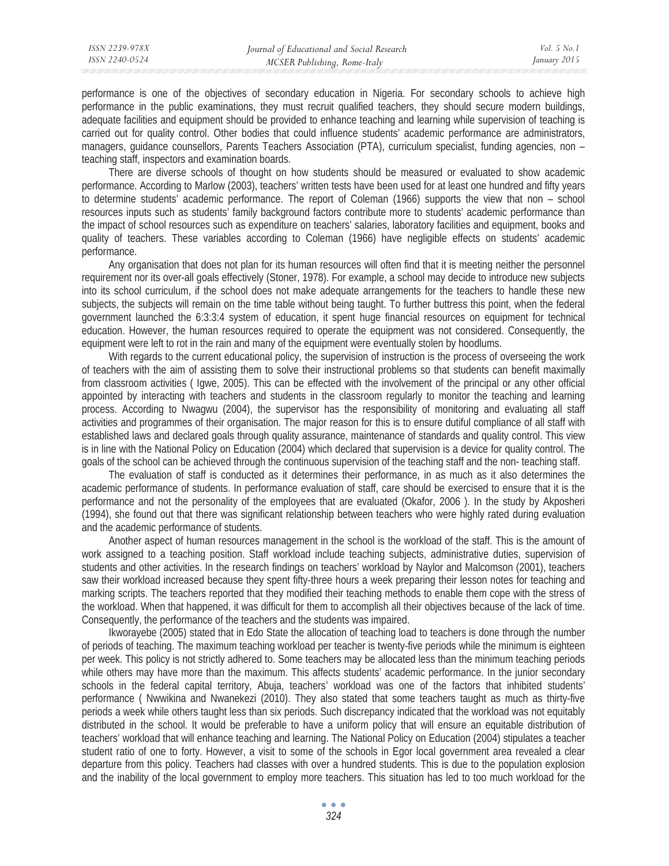performance is one of the objectives of secondary education in Nigeria. For secondary schools to achieve high performance in the public examinations, they must recruit qualified teachers, they should secure modern buildings, adequate facilities and equipment should be provided to enhance teaching and learning while supervision of teaching is carried out for quality control. Other bodies that could influence students' academic performance are administrators, managers, guidance counsellors, Parents Teachers Association (PTA), curriculum specialist, funding agencies, non – teaching staff, inspectors and examination boards.

There are diverse schools of thought on how students should be measured or evaluated to show academic performance. According to Marlow (2003), teachers' written tests have been used for at least one hundred and fifty years to determine students' academic performance. The report of Coleman (1966) supports the view that non – school resources inputs such as students' family background factors contribute more to students' academic performance than the impact of school resources such as expenditure on teachers' salaries, laboratory facilities and equipment, books and quality of teachers. These variables according to Coleman (1966) have negligible effects on students' academic performance.

Any organisation that does not plan for its human resources will often find that it is meeting neither the personnel requirement nor its over-all goals effectively (Stoner, 1978). For example, a school may decide to introduce new subjects into its school curriculum, if the school does not make adequate arrangements for the teachers to handle these new subjects, the subjects will remain on the time table without being taught. To further buttress this point, when the federal government launched the 6:3:3:4 system of education, it spent huge financial resources on equipment for technical education. However, the human resources required to operate the equipment was not considered. Consequently, the equipment were left to rot in the rain and many of the equipment were eventually stolen by hoodlums.

With regards to the current educational policy, the supervision of instruction is the process of overseeing the work of teachers with the aim of assisting them to solve their instructional problems so that students can benefit maximally from classroom activities ( Igwe, 2005). This can be effected with the involvement of the principal or any other official appointed by interacting with teachers and students in the classroom regularly to monitor the teaching and learning process. According to Nwagwu (2004), the supervisor has the responsibility of monitoring and evaluating all staff activities and programmes of their organisation. The major reason for this is to ensure dutiful compliance of all staff with established laws and declared goals through quality assurance, maintenance of standards and quality control. This view is in line with the National Policy on Education (2004) which declared that supervision is a device for quality control. The goals of the school can be achieved through the continuous supervision of the teaching staff and the non- teaching staff.

The evaluation of staff is conducted as it determines their performance, in as much as it also determines the academic performance of students. In performance evaluation of staff, care should be exercised to ensure that it is the performance and not the personality of the employees that are evaluated (Okafor, 2006 ). In the study by Akposheri (1994), she found out that there was significant relationship between teachers who were highly rated during evaluation and the academic performance of students.

Another aspect of human resources management in the school is the workload of the staff. This is the amount of work assigned to a teaching position. Staff workload include teaching subjects, administrative duties, supervision of students and other activities. In the research findings on teachers' workload by Naylor and Malcomson (2001), teachers saw their workload increased because they spent fifty-three hours a week preparing their lesson notes for teaching and marking scripts. The teachers reported that they modified their teaching methods to enable them cope with the stress of the workload. When that happened, it was difficult for them to accomplish all their objectives because of the lack of time. Consequently, the performance of the teachers and the students was impaired.

Ikworayebe (2005) stated that in Edo State the allocation of teaching load to teachers is done through the number of periods of teaching. The maximum teaching workload per teacher is twenty-five periods while the minimum is eighteen per week. This policy is not strictly adhered to. Some teachers may be allocated less than the minimum teaching periods while others may have more than the maximum. This affects students' academic performance. In the junior secondary schools in the federal capital territory, Abuja, teachers' workload was one of the factors that inhibited students' performance ( Nwwikina and Nwanekezi (2010). They also stated that some teachers taught as much as thirty-five periods a week while others taught less than six periods. Such discrepancy indicated that the workload was not equitably distributed in the school. It would be preferable to have a uniform policy that will ensure an equitable distribution of teachers' workload that will enhance teaching and learning. The National Policy on Education (2004) stipulates a teacher student ratio of one to forty. However, a visit to some of the schools in Egor local government area revealed a clear departure from this policy. Teachers had classes with over a hundred students. This is due to the population explosion and the inability of the local government to employ more teachers. This situation has led to too much workload for the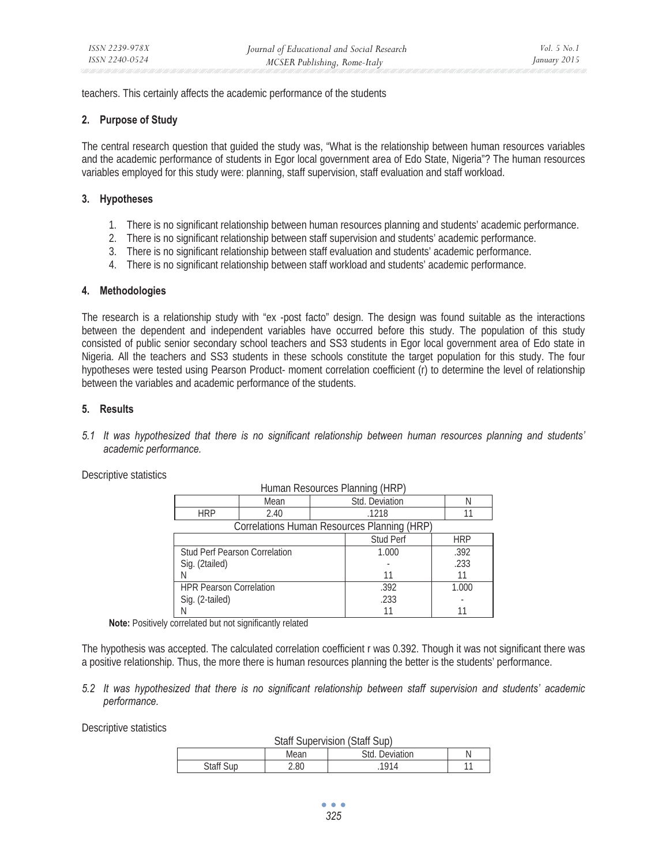teachers. This certainly affects the academic performance of the students

# **2. Purpose of Study**

The central research question that guided the study was, "What is the relationship between human resources variables and the academic performance of students in Egor local government area of Edo State, Nigeria"? The human resources variables employed for this study were: planning, staff supervision, staff evaluation and staff workload.

# **3. Hypotheses**

- 1. There is no significant relationship between human resources planning and students' academic performance.
- 2. There is no significant relationship between staff supervision and students' academic performance.
- 3. There is no significant relationship between staff evaluation and students' academic performance.
- 4. There is no significant relationship between staff workload and students' academic performance.

# **4. Methodologies**

The research is a relationship study with "ex -post facto" design. The design was found suitable as the interactions between the dependent and independent variables have occurred before this study. The population of this study consisted of public senior secondary school teachers and SS3 students in Egor local government area of Edo state in Nigeria. All the teachers and SS3 students in these schools constitute the target population for this study. The four hypotheses were tested using Pearson Product- moment correlation coefficient (r) to determine the level of relationship between the variables and academic performance of the students.

# **5. Results**

*5.1 It was hypothesized that there is no significant relationship between human resources planning and students' academic performance.* 

Descriptive statistics

| TRITIQUE INCOURT CONTROLLER LIBRARY         |      |       |                  |            |
|---------------------------------------------|------|-------|------------------|------------|
|                                             | Mean |       | Std. Deviation   | Ν          |
| <b>HRP</b>                                  | 2.40 |       | .1218            |            |
| Correlations Human Resources Planning (HRP) |      |       |                  |            |
|                                             |      |       | <b>Stud Perf</b> | <b>HRP</b> |
| Stud Perf Pearson Correlation               |      | 1.000 | .392             |            |
| Sig. (2tailed)                              |      |       |                  | .233       |
|                                             |      |       | 11               | 11         |
| <b>HPR Pearson Correlation</b>              |      |       | .392             | 1.000      |
| Sig. (2-tailed)                             |      |       | .233             |            |
|                                             |      |       |                  |            |

Human Resources Planning (HRP)

**Note:** Positively correlated but not significantly related

The hypothesis was accepted. The calculated correlation coefficient r was 0.392. Though it was not significant there was a positive relationship. Thus, the more there is human resources planning the better is the students' performance.

# *5.2 It was hypothesized that there is no significant relationship between staff supervision and students' academic performance.*

Descriptive statistics

| <b>Staff Supervision (Staff Sup)</b> |      |                |  |
|--------------------------------------|------|----------------|--|
|                                      | Mean | Std. Deviation |  |
| <b>Staff Sup</b>                     | 2.80 | 1914           |  |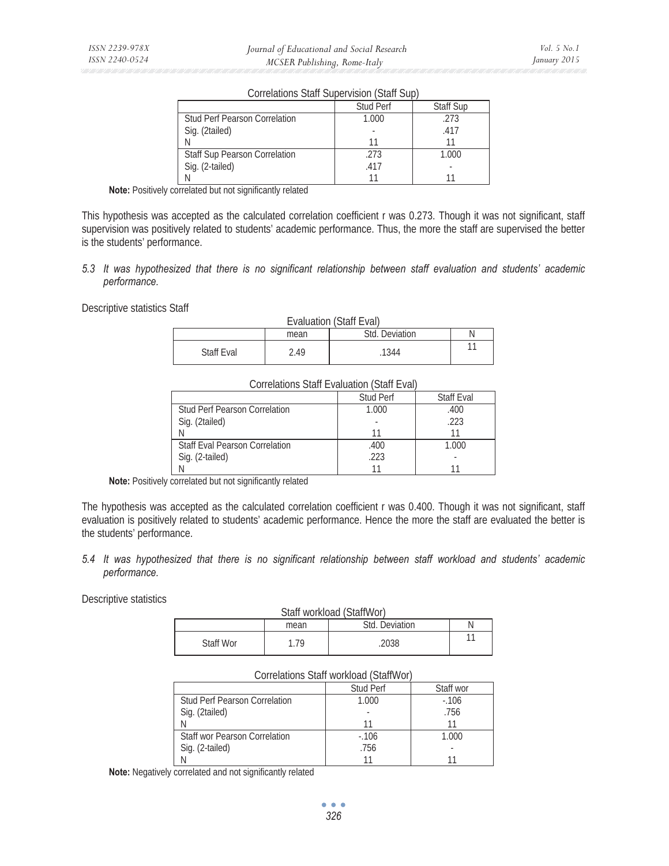|                                      | <b>Stud Perf</b> | <b>Staff Sup</b> |  |
|--------------------------------------|------------------|------------------|--|
| <b>Stud Perf Pearson Correlation</b> | 1.000            | .273             |  |
| Sig. (2tailed)                       |                  | .417             |  |
|                                      |                  |                  |  |
| <b>Staff Sup Pearson Correlation</b> | .273             | 1.000            |  |
| Sig. (2-tailed)                      | .417             |                  |  |
|                                      |                  |                  |  |

Correlations Staff Supervision (Staff Sup)

**Note:** Positively correlated but not significantly related

This hypothesis was accepted as the calculated correlation coefficient r was 0.273. Though it was not significant, staff supervision was positively related to students' academic performance. Thus, the more the staff are supervised the better is the students' performance.

# *5.3 It was hypothesized that there is no significant relationship between staff evaluation and students' academic performance.*

Descriptive statistics Staff

| Evaluation (Staff Eval) |      |                |  |
|-------------------------|------|----------------|--|
|                         | mean | Std. Deviation |  |
| Staff Eval              | 2.49 | 1344           |  |

| <b>Correlations Staff Evaluation (Staff Eval)</b> |                  |                   |
|---------------------------------------------------|------------------|-------------------|
|                                                   | <b>Stud Perf</b> | <b>Staff Eval</b> |
| <b>Stud Perf Pearson Correlation</b>              | 1.000            | .400              |
| Sig. (2tailed)                                    |                  | .223              |
|                                                   |                  |                   |
| <b>Staff Eval Pearson Correlation</b>             | .400             | 1.000             |
| Sig. (2-tailed)                                   | .223             |                   |
|                                                   |                  |                   |

#### **Note:** Positively correlated but not significantly related

The hypothesis was accepted as the calculated correlation coefficient r was 0.400. Though it was not significant, staff evaluation is positively related to students' academic performance. Hence the more the staff are evaluated the better is the students' performance.

### *5.4 It was hypothesized that there is no significant relationship between staff workload and students' academic performance.*

Descriptive statistics

| Staff workload (StaffWor) |      |                |  |
|---------------------------|------|----------------|--|
|                           | mean | Std. Deviation |  |
| Staff Wor                 | - 79 | 2038           |  |

#### Correlations Staff workload (StaffWor)

|                                      | <b>Stud Perf</b> | Staff wor |
|--------------------------------------|------------------|-----------|
| <b>Stud Perf Pearson Correlation</b> | 1.000            | $-106$    |
| Sig. (2tailed)                       |                  | .756      |
|                                      |                  |           |
| Staff wor Pearson Correlation        | $-106$           | 1.000     |
| Sig. (2-tailed)                      | .756             |           |
|                                      |                  |           |

**Note:** Negatively correlated and not significantly related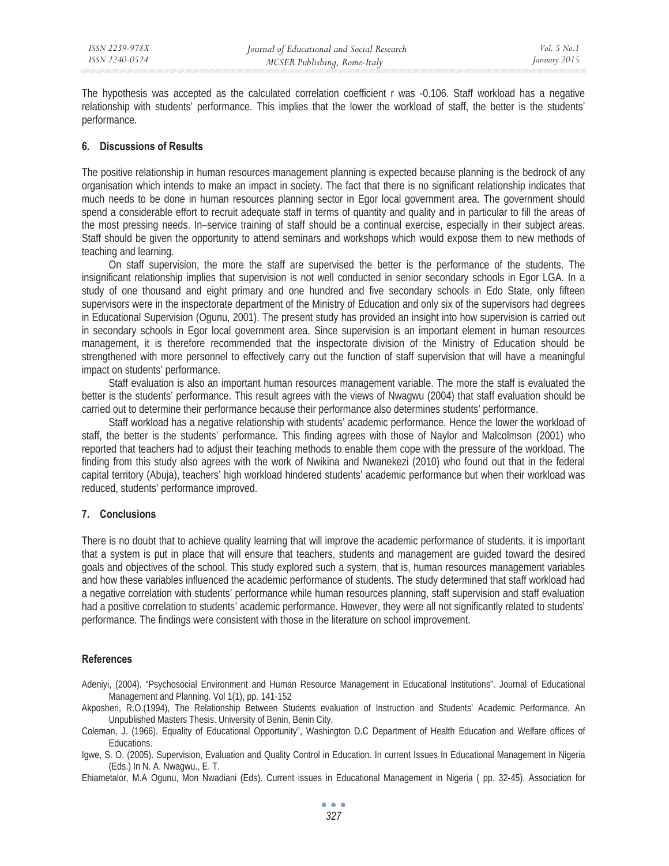The hypothesis was accepted as the calculated correlation coefficient r was -0.106. Staff workload has a negative relationship with students' performance. This implies that the lower the workload of staff, the better is the students' performance.

### **6. Discussions of Results**

The positive relationship in human resources management planning is expected because planning is the bedrock of any organisation which intends to make an impact in society. The fact that there is no significant relationship indicates that much needs to be done in human resources planning sector in Egor local government area. The government should spend a considerable effort to recruit adequate staff in terms of quantity and quality and in particular to fill the areas of the most pressing needs. In–service training of staff should be a continual exercise, especially in their subject areas. Staff should be given the opportunity to attend seminars and workshops which would expose them to new methods of teaching and learning.

On staff supervision, the more the staff are supervised the better is the performance of the students. The insignificant relationship implies that supervision is not well conducted in senior secondary schools in Egor LGA. In a study of one thousand and eight primary and one hundred and five secondary schools in Edo State, only fifteen supervisors were in the inspectorate department of the Ministry of Education and only six of the supervisors had degrees in Educational Supervision (Ogunu, 2001). The present study has provided an insight into how supervision is carried out in secondary schools in Egor local government area. Since supervision is an important element in human resources management, it is therefore recommended that the inspectorate division of the Ministry of Education should be strengthened with more personnel to effectively carry out the function of staff supervision that will have a meaningful impact on students' performance.

Staff evaluation is also an important human resources management variable. The more the staff is evaluated the better is the students' performance. This result agrees with the views of Nwagwu (2004) that staff evaluation should be carried out to determine their performance because their performance also determines students' performance.

Staff workload has a negative relationship with students' academic performance. Hence the lower the workload of staff, the better is the students' performance. This finding agrees with those of Naylor and Malcolmson (2001) who reported that teachers had to adjust their teaching methods to enable them cope with the pressure of the workload. The finding from this study also agrees with the work of Nwikina and Nwanekezi (2010) who found out that in the federal capital territory (Abuja), teachers' high workload hindered students' academic performance but when their workload was reduced, students' performance improved.

# **7. Conclusions**

There is no doubt that to achieve quality learning that will improve the academic performance of students, it is important that a system is put in place that will ensure that teachers, students and management are guided toward the desired goals and objectives of the school. This study explored such a system, that is, human resources management variables and how these variables influenced the academic performance of students. The study determined that staff workload had a negative correlation with students' performance while human resources planning, staff supervision and staff evaluation had a positive correlation to students' academic performance. However, they were all not significantly related to students' performance. The findings were consistent with those in the literature on school improvement.

# **References**

Adeniyi, (2004). "Psychosocial Environment and Human Resource Management in Educational Institutions". Journal of Educational Management and Planning. Vol 1(1), pp. 141-152

Akposheri, R.O.(1994), The Relationship Between Students evaluation of Instruction and Students' Academic Performance. An Unpublished Masters Thesis. University of Benin, Benin City.

Coleman, J. (1966). Equality of Educational Opportunity", Washington D.C Department of Health Education and Welfare offices of Educations.

Igwe, S. O. (2005). Supervision, Evaluation and Quality Control in Education. In current Issues In Educational Management In Nigeria (Eds.) In N. A. Nwagwu., E. T.

Ehiametalor, M.A Ogunu, Mon Nwadiani (Eds). Current issues in Educational Management in Nigeria ( pp. 32-45). Association for